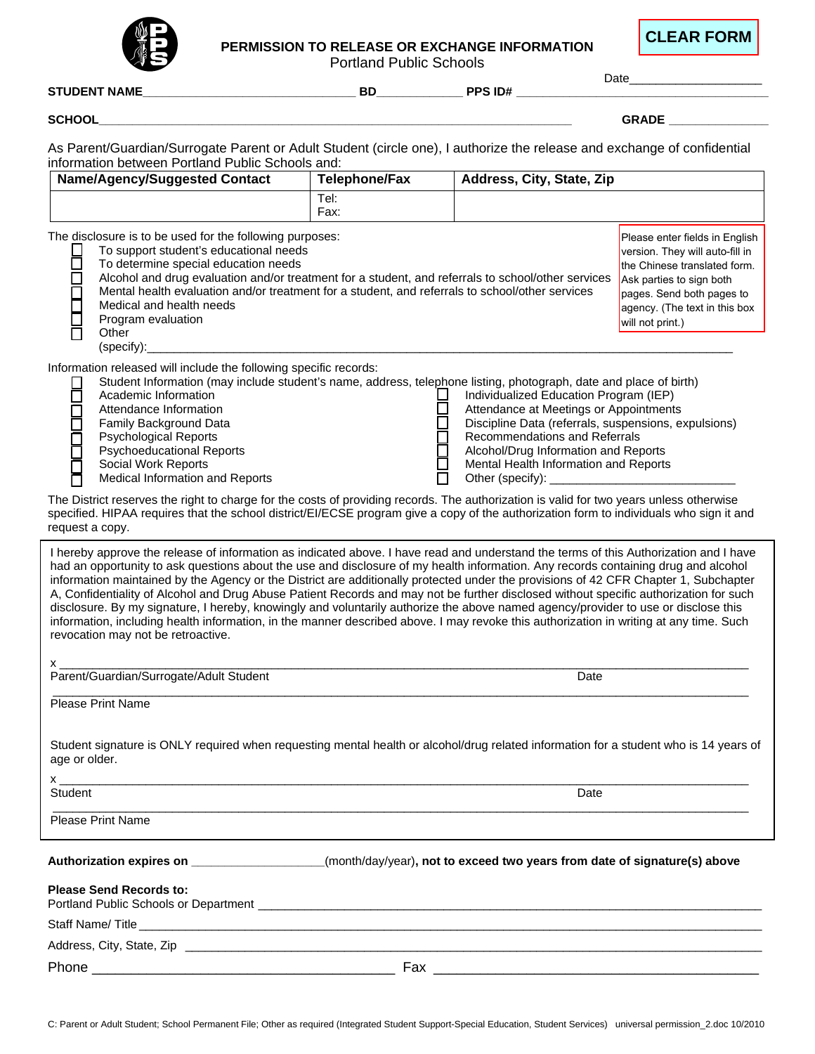

## **PERMISSION TO RELEASE OR EXCHANGE INFORMATION**

Portland Public Schools

**CLEAR FORM**

| <b>STUDENT NAME_</b>                                                                                                                                                                                                                                                                                                                                                                                                                                                                                                                                                                                                                                                                                                                                                                                                                                                               | <b>BD</b>     | PPS ID#                                                                                                                                                                                                                                                                          | Date <b>Date</b>                                                                                                                                                                                                |
|------------------------------------------------------------------------------------------------------------------------------------------------------------------------------------------------------------------------------------------------------------------------------------------------------------------------------------------------------------------------------------------------------------------------------------------------------------------------------------------------------------------------------------------------------------------------------------------------------------------------------------------------------------------------------------------------------------------------------------------------------------------------------------------------------------------------------------------------------------------------------------|---------------|----------------------------------------------------------------------------------------------------------------------------------------------------------------------------------------------------------------------------------------------------------------------------------|-----------------------------------------------------------------------------------------------------------------------------------------------------------------------------------------------------------------|
| <b>SCHOOL</b>                                                                                                                                                                                                                                                                                                                                                                                                                                                                                                                                                                                                                                                                                                                                                                                                                                                                      |               |                                                                                                                                                                                                                                                                                  | GRADE <b>Andrew Street Street Street Street</b>                                                                                                                                                                 |
|                                                                                                                                                                                                                                                                                                                                                                                                                                                                                                                                                                                                                                                                                                                                                                                                                                                                                    |               |                                                                                                                                                                                                                                                                                  |                                                                                                                                                                                                                 |
| As Parent/Guardian/Surrogate Parent or Adult Student (circle one), I authorize the release and exchange of confidential<br>information between Portland Public Schools and:                                                                                                                                                                                                                                                                                                                                                                                                                                                                                                                                                                                                                                                                                                        |               |                                                                                                                                                                                                                                                                                  |                                                                                                                                                                                                                 |
| <b>Name/Agency/Suggested Contact</b>                                                                                                                                                                                                                                                                                                                                                                                                                                                                                                                                                                                                                                                                                                                                                                                                                                               | Telephone/Fax | Address, City, State, Zip                                                                                                                                                                                                                                                        |                                                                                                                                                                                                                 |
|                                                                                                                                                                                                                                                                                                                                                                                                                                                                                                                                                                                                                                                                                                                                                                                                                                                                                    | TeI:<br>Fax:  |                                                                                                                                                                                                                                                                                  |                                                                                                                                                                                                                 |
| The disclosure is to be used for the following purposes:<br>To support student's educational needs<br>2<br>To determine special education needs<br>Alcohol and drug evaluation and/or treatment for a student, and referrals to school/other services<br>Mental health evaluation and/or treatment for a student, and referrals to school/other services<br>Ō<br>N<br>Medical and health needs<br>Program evaluation<br>Other<br>(specify):                                                                                                                                                                                                                                                                                                                                                                                                                                        |               |                                                                                                                                                                                                                                                                                  | Please enter fields in English<br>version. They will auto-fill in<br>the Chinese translated form.<br>Ask parties to sign both<br>pages. Send both pages to<br>agency. (The text in this box<br>will not print.) |
| Information released will include the following specific records:<br>Student Information (may include student's name, address, telephone listing, photograph, date and place of birth)<br>$\mathbf{I}$<br>Academic Information<br>$\Box$<br>Attendance Information<br>Family Background Data<br><b>Psychological Reports</b><br><b>Psychoeducational Reports</b><br>Social Work Reports<br>Medical Information and Reports<br>The District reserves the right to charge for the costs of providing records. The authorization is valid for two years unless otherwise                                                                                                                                                                                                                                                                                                              |               | Individualized Education Program (IEP)<br>Attendance at Meetings or Appointments<br>Discipline Data (referrals, suspensions, expulsions)<br>Recommendations and Referrals<br>Alcohol/Drug Information and Reports<br>Mental Health Information and Reports<br>Other (specify): _ |                                                                                                                                                                                                                 |
| specified. HIPAA requires that the school district/EI/ECSE program give a copy of the authorization form to individuals who sign it and<br>request a copy.                                                                                                                                                                                                                                                                                                                                                                                                                                                                                                                                                                                                                                                                                                                         |               |                                                                                                                                                                                                                                                                                  |                                                                                                                                                                                                                 |
| I hereby approve the release of information as indicated above. I have read and understand the terms of this Authorization and I have<br>had an opportunity to ask questions about the use and disclosure of my health information. Any records containing drug and alcohol<br>information maintained by the Agency or the District are additionally protected under the provisions of 42 CFR Chapter 1, Subchapter<br>A, Confidentiality of Alcohol and Drug Abuse Patient Records and may not be further disclosed without specific authorization for such<br>disclosure. By my signature, I hereby, knowingly and voluntarily authorize the above named agency/provider to use or disclose this<br>information, including health information, in the manner described above. I may revoke this authorization in writing at any time. Such<br>revocation may not be retroactive. |               |                                                                                                                                                                                                                                                                                  |                                                                                                                                                                                                                 |
| $X_{-}$<br>Parent/Guardian/Surrogate/Adult Student                                                                                                                                                                                                                                                                                                                                                                                                                                                                                                                                                                                                                                                                                                                                                                                                                                 |               | Date                                                                                                                                                                                                                                                                             |                                                                                                                                                                                                                 |
| <b>Please Print Name</b>                                                                                                                                                                                                                                                                                                                                                                                                                                                                                                                                                                                                                                                                                                                                                                                                                                                           |               |                                                                                                                                                                                                                                                                                  |                                                                                                                                                                                                                 |
| Student signature is ONLY required when requesting mental health or alcohol/drug related information for a student who is 14 years of<br>age or older.                                                                                                                                                                                                                                                                                                                                                                                                                                                                                                                                                                                                                                                                                                                             |               |                                                                                                                                                                                                                                                                                  |                                                                                                                                                                                                                 |
| $\mathsf{x}$<br>Student                                                                                                                                                                                                                                                                                                                                                                                                                                                                                                                                                                                                                                                                                                                                                                                                                                                            |               | Date                                                                                                                                                                                                                                                                             |                                                                                                                                                                                                                 |
| Please Print Name                                                                                                                                                                                                                                                                                                                                                                                                                                                                                                                                                                                                                                                                                                                                                                                                                                                                  |               |                                                                                                                                                                                                                                                                                  |                                                                                                                                                                                                                 |
| Authorization expires on ___________________(month/day/year), not to exceed two years from date of signature(s) above                                                                                                                                                                                                                                                                                                                                                                                                                                                                                                                                                                                                                                                                                                                                                              |               |                                                                                                                                                                                                                                                                                  |                                                                                                                                                                                                                 |
| <b>Please Send Records to:</b>                                                                                                                                                                                                                                                                                                                                                                                                                                                                                                                                                                                                                                                                                                                                                                                                                                                     |               |                                                                                                                                                                                                                                                                                  |                                                                                                                                                                                                                 |
|                                                                                                                                                                                                                                                                                                                                                                                                                                                                                                                                                                                                                                                                                                                                                                                                                                                                                    |               |                                                                                                                                                                                                                                                                                  |                                                                                                                                                                                                                 |
|                                                                                                                                                                                                                                                                                                                                                                                                                                                                                                                                                                                                                                                                                                                                                                                                                                                                                    |               |                                                                                                                                                                                                                                                                                  |                                                                                                                                                                                                                 |
|                                                                                                                                                                                                                                                                                                                                                                                                                                                                                                                                                                                                                                                                                                                                                                                                                                                                                    |               |                                                                                                                                                                                                                                                                                  |                                                                                                                                                                                                                 |